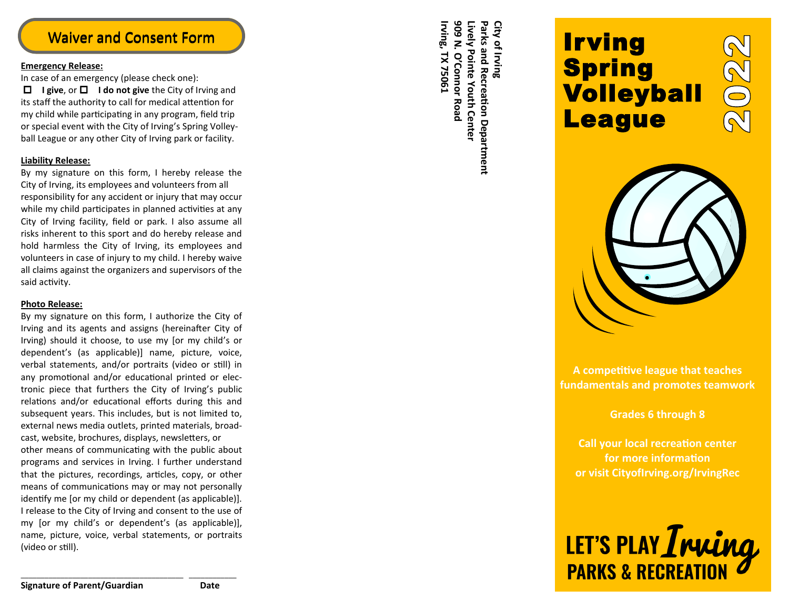# Waiver and Consent Form Waiver and Consent Form

#### **Emergency Release:**

In case of an emergency (please check one):

 **I give**, or **I do not give** the City of Irving and its staff the authority to call for medical attention for my child while participating in any program, field trip or special event with the City of Irving 's Spring Volleyball League or any other City of Irving park or facility.

#### **Liability Release:**

By my signature on this form, I hereby release the City of Irving, its employees and volunteers from all responsibility for any accident or injury that may occur while my child participates in planned activities at any City of Irving facility, field or park. I also assume all risks inherent to this sport and do hereby release and hold harmless the City of Irving, its employees and volunteers in case of injury to my child. I hereby waive all claims against the organizers and supervisors of the said activity.

#### **Photo Release:**

By my signature on this form, I authorize the City of Irving and its agents and assigns (hereinafter City of Irving) should it choose, to use my [or my child 's or dependent 's (as applicable)] name, picture, voice, verbal statements, and/or portraits (video or still) in any promotional and/or educational printed or electronic piece that furthers the City of Irving's public relations and/or educational efforts during this and subsequent years. This includes, but is not limited to, external news media outlets, printed materials, broadcast, website, brochures, displays, newsletters, or other means of communicating with the public about programs and services in Irving. I further understand that the pictures, recordings, articles, copy, or other means of communications may or may not personally identify me [or my child or dependent (as applicable)]. I release to the City of Irving and consent to the use of my [or my child 's or dependent 's (as applicable)], name, picture, voice, verbal statements, or portraits (video or still).

\_\_\_\_\_\_\_\_\_\_\_\_\_\_\_\_\_\_\_\_\_\_\_\_\_\_\_\_\_\_\_\_\_\_\_\_\_\_\_\_\_ \_\_\_\_\_\_\_\_\_\_\_\_

Parks and Recreation Department **Irving, TX 75061 909 N. O'Connor Road 909 N. O** Lively Pointe Youth Center **Lively Pointe Youth Center Parks and Recreation Department** City of Irving **City of Irving**  rving, TX 75061 **Connor Road**



 $\left(022\right)$ 



**A competitive league that teaches fundamentals and promotes teamwork**

**Grades 6 through 8**

**Call your local recreation center for more information or visit CityofIrving.org/IrvingRec**

LET'S PLAY Truing